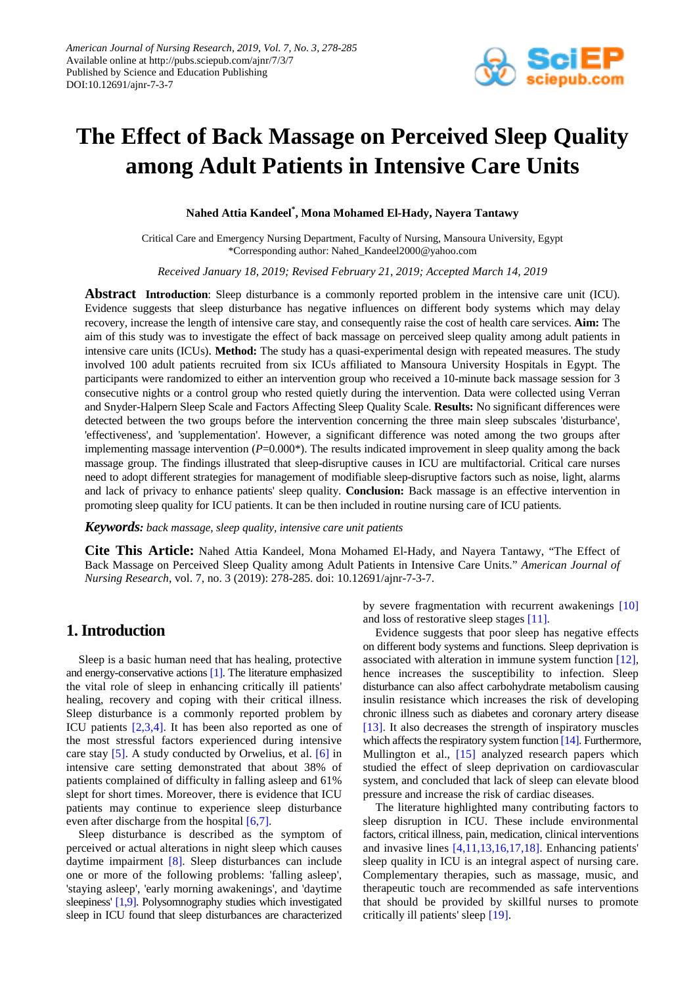

# **The Effect of Back Massage on Perceived Sleep Quality among Adult Patients in Intensive Care Units**

**Nahed Attia Kandeel\* , Mona Mohamed El-Hady, Nayera Tantawy**

Critical Care and Emergency Nursing Department, Faculty of Nursing, Mansoura University, Egypt \*Corresponding author: Nahed\_Kandeel2000@yahoo.com

*Received January 18, 2019; Revised February 21, 2019; Accepted March 14, 2019*

**Abstract Introduction**: Sleep disturbance is a commonly reported problem in the intensive care unit (ICU). Evidence suggests that sleep disturbance has negative influences on different body systems which may delay recovery, increase the length of intensive care stay, and consequently raise the cost of health care services. **Aim:** The aim of this study was to investigate the effect of back massage on perceived sleep quality among adult patients in intensive care units (ICUs). **Method:** The study has a quasi-experimental design with repeated measures. The study involved 100 adult patients recruited from six ICUs affiliated to Mansoura University Hospitals in Egypt. The participants were randomized to either an intervention group who received a 10-minute back massage session for 3 consecutive nights or a control group who rested quietly during the intervention. Data were collected using Verran and Snyder-Halpern Sleep Scale and Factors Affecting Sleep Quality Scale. **Results:** No significant differences were detected between the two groups before the intervention concerning the three main sleep subscales 'disturbance', 'effectiveness', and 'supplementation'. However, a significant difference was noted among the two groups after implementing massage intervention  $(P=0.000*)$ . The results indicated improvement in sleep quality among the back massage group. The findings illustrated that sleep-disruptive causes in ICU are multifactorial. Critical care nurses need to adopt different strategies for management of modifiable sleep-disruptive factors such as noise, light, alarms and lack of privacy to enhance patients' sleep quality. **Conclusion:** Back massage is an effective intervention in promoting sleep quality for ICU patients. It can be then included in routine nursing care of ICU patients.

*Keywords: back massage, sleep quality, intensive care unit patients*

**Cite This Article:** Nahed Attia Kandeel, Mona Mohamed El-Hady, and Nayera Tantawy, "The Effect of Back Massage on Perceived Sleep Quality among Adult Patients in Intensive Care Units." *American Journal of Nursing Research*, vol. 7, no. 3 (2019): 278-285. doi: 10.12691/ajnr-7-3-7.

## **1. Introduction**

Sleep is a basic human need that has healing, protective and energy-conservative action[s \[1\].](#page-6-0) The literature emphasized the vital role of sleep in enhancing critically ill patients' healing, recovery and coping with their critical illness. Sleep disturbance is a commonly reported problem by ICU patients [\[2,3,4\].](#page-6-1) It has been also reported as one of the most stressful factors experienced during intensive care stay [\[5\].](#page-6-2) A study conducted by Orwelius, et al. [\[6\]](#page-7-0) in intensive care setting demonstrated that about 38% of patients complained of difficulty in falling asleep and 61% slept for short times. Moreover, there is evidence that ICU patients may continue to experience sleep disturbance even after discharge from the hospital [\[6,7\].](#page-7-0)

Sleep disturbance is described as the symptom of perceived or actual alterations in night sleep which causes daytime impairment [\[8\].](#page-7-1) Sleep disturbances can include one or more of the following problems: 'falling asleep', 'staying asleep', 'early morning awakenings', and 'daytime sleepiness' [\[1,9\].](#page-6-0) Polysomnography studies which investigated sleep in ICU found that sleep disturbances are characterized by severe fragmentation with recurrent awakenings [\[10\]](#page-7-2) and loss of restorative sleep stage[s \[11\].](#page-7-3)

Evidence suggests that poor sleep has negative effects on different body systems and functions. Sleep deprivation is associated with alteration in immune system function [\[12\],](#page-7-4) hence increases the susceptibility to infection. Sleep disturbance can also affect carbohydrate metabolism causing insulin resistance which increases the risk of developing chronic illness such as diabetes and coronary artery disease [\[13\].](#page-7-5) It also decreases the strength of inspiratory muscles which affects the respiratory system functio[n \[14\].](#page-7-6) Furthermore, Mullington et al., [\[15\]](#page-7-7) analyzed research papers which studied the effect of sleep deprivation on cardiovascular system, and concluded that lack of sleep can elevate blood pressure and increase the risk of cardiac diseases.

The literature highlighted many contributing factors to sleep disruption in ICU. These include environmental factors, critical illness, pain, medication, clinical interventions and invasive lines [\[4,11,13,16,17,18\].](#page-6-3) Enhancing patients' sleep quality in ICU is an integral aspect of nursing care. Complementary therapies, such as massage, music, and therapeutic touch are recommended as safe interventions that should be provided by skillful nurses to promote critically ill patients' sleep [\[19\].](#page-7-8)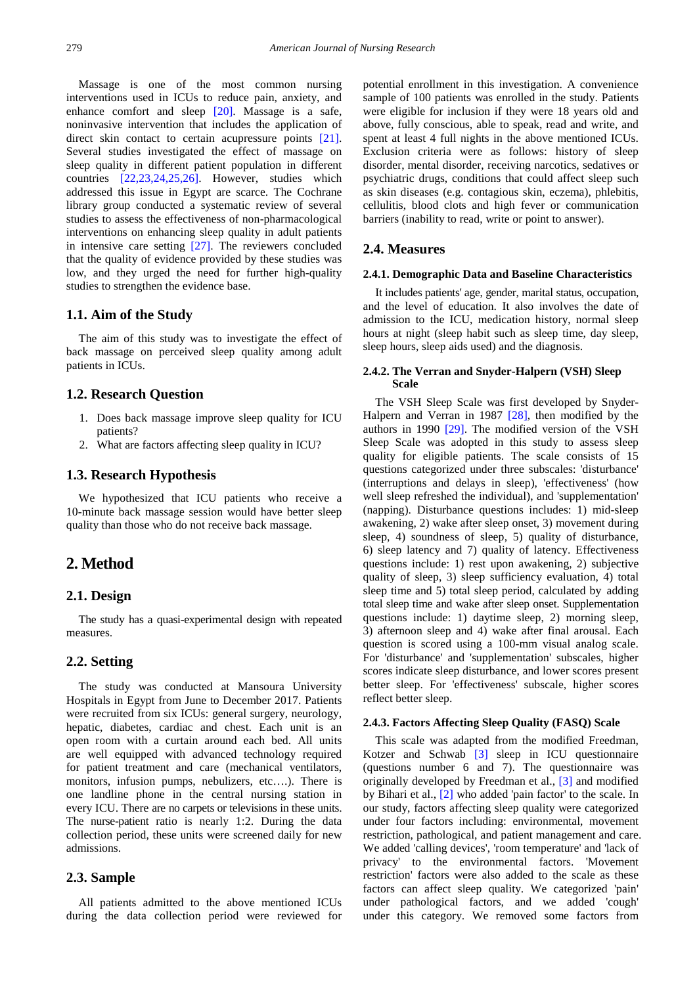Massage is one of the most common nursing interventions used in ICUs to reduce pain, anxiety, and enhance comfort and sleep [\[20\].](#page-7-9) Massage is a safe, noninvasive intervention that includes the application of direct skin contact to certain acupressure points [\[21\].](#page-7-10) Several studies investigated the effect of massage on sleep quality in different patient population in different countries [\[22,23,24,25,26\].](#page-7-11) However, studies which addressed this issue in Egypt are scarce. The Cochrane library group conducted a systematic review of several studies to assess the effectiveness of non-pharmacological interventions on enhancing sleep quality in adult patients in intensive care setting [\[27\].](#page-7-12) The reviewers concluded that the quality of evidence provided by these studies was low, and they urged the need for further high-quality studies to strengthen the evidence base.

#### **1.1. Aim of the Study**

The aim of this study was to investigate the effect of back massage on perceived sleep quality among adult patients in ICUs.

#### **1.2. Research Question**

- 1. Does back massage improve sleep quality for ICU patients?
- 2. What are factors affecting sleep quality in ICU?

#### **1.3. Research Hypothesis**

We hypothesized that ICU patients who receive a 10-minute back massage session would have better sleep quality than those who do not receive back massage.

# **2. Method**

## **2.1. Design**

The study has a quasi-experimental design with repeated measures.

## **2.2. Setting**

The study was conducted at Mansoura University Hospitals in Egypt from June to December 2017. Patients were recruited from six ICUs: general surgery, neurology, hepatic, diabetes, cardiac and chest. Each unit is an open room with a curtain around each bed. All units are well equipped with advanced technology required for patient treatment and care (mechanical ventilators, monitors, infusion pumps, nebulizers, etc….). There is one landline phone in the central nursing station in every ICU. There are no carpets or televisions in these units. The nurse-patient ratio is nearly 1:2. During the data collection period, these units were screened daily for new admissions.

#### **2.3. Sample**

All patients admitted to the above mentioned ICUs during the data collection period were reviewed for

potential enrollment in this investigation. A convenience sample of 100 patients was enrolled in the study. Patients were eligible for inclusion if they were 18 years old and above, fully conscious, able to speak, read and write, and spent at least 4 full nights in the above mentioned ICUs. Exclusion criteria were as follows: history of sleep disorder, mental disorder, receiving narcotics, sedatives or psychiatric drugs, conditions that could affect sleep such as skin diseases (e.g. contagious skin, eczema), phlebitis, cellulitis, blood clots and high fever or communication barriers (inability to read, write or point to answer).

## **2.4. Measures**

#### **2.4.1. Demographic Data and Baseline Characteristics**

It includes patients' age, gender, marital status, occupation, and the level of education. It also involves the date of admission to the ICU, medication history, normal sleep hours at night (sleep habit such as sleep time, day sleep, sleep hours, sleep aids used) and the diagnosis.

#### **2.4.2. The Verran and Snyder-Halpern (VSH) Sleep Scale**

The VSH Sleep Scale was first developed by Snyder-Halpern and Verran in 1987 [\[28\],](#page-7-13) then modified by the authors in 1990 [\[29\].](#page-7-14) The modified version of the VSH Sleep Scale was adopted in this study to assess sleep quality for eligible patients. The scale consists of 15 questions categorized under three subscales: 'disturbance' (interruptions and delays in sleep), 'effectiveness' (how well sleep refreshed the individual), and 'supplementation' (napping). Disturbance questions includes: 1) mid-sleep awakening, 2) wake after sleep onset, 3) movement during sleep, 4) soundness of sleep, 5) quality of disturbance, 6) sleep latency and 7) quality of latency. Effectiveness questions include: 1) rest upon awakening, 2) subjective quality of sleep, 3) sleep sufficiency evaluation, 4) total sleep time and 5) total sleep period, calculated by adding total sleep time and wake after sleep onset. Supplementation questions include: 1) daytime sleep, 2) morning sleep, 3) afternoon sleep and 4) wake after final arousal. Each question is scored using a 100-mm visual analog scale. For 'disturbance' and 'supplementation' subscales, higher scores indicate sleep disturbance, and lower scores present better sleep. For 'effectiveness' subscale, higher scores reflect better sleep.

## **2.4.3. Factors Affecting Sleep Quality (FASQ) Scale**

This scale was adapted from the modified Freedman, Kotzer and Schwab [\[3\]](#page-6-4) sleep in ICU questionnaire (questions number 6 and 7). The questionnaire was originally developed by Freedman et al., [\[3\]](#page-6-4) and modified by Bihari et al., [\[2\]](#page-6-1) who added 'pain factor' to the scale. In our study, factors affecting sleep quality were categorized under four factors including: environmental, movement restriction, pathological, and patient management and care. We added 'calling devices', 'room temperature' and 'lack of privacy' to the environmental factors. 'Movement restriction' factors were also added to the scale as these factors can affect sleep quality. We categorized 'pain' under pathological factors, and we added 'cough' under this category. We removed some factors from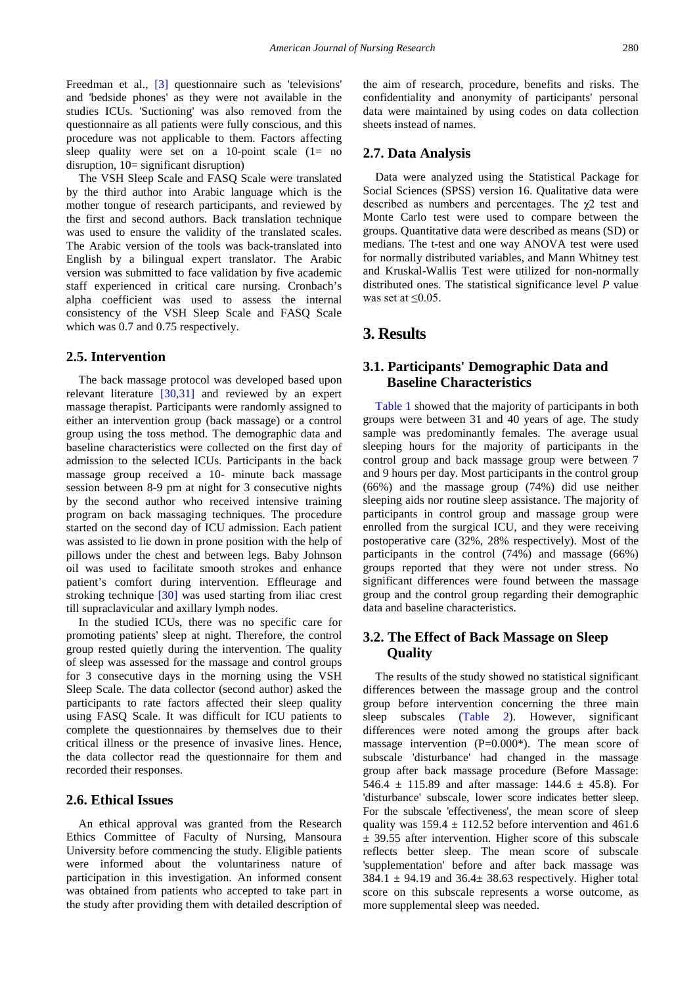Freedman et al., [\[3\]](#page-6-4) questionnaire such as 'televisions' and 'bedside phones' as they were not available in the studies ICUs. 'Suctioning' was also removed from the questionnaire as all patients were fully conscious, and this procedure was not applicable to them. Factors affecting sleep quality were set on a 10-point scale  $(1=$  no disruption, 10= significant disruption)

The VSH Sleep Scale and FASQ Scale were translated by the third author into Arabic language which is the mother tongue of research participants, and reviewed by the first and second authors. Back translation technique was used to ensure the validity of the translated scales. The Arabic version of the tools was back-translated into English by a bilingual expert translator. The Arabic version was submitted to face validation by five academic staff experienced in critical care nursing. Cronbach's alpha coefficient was used to assess the internal consistency of the VSH Sleep Scale and FASQ Scale which was 0.7 and 0.75 respectively.

#### **2.5. Intervention**

The back massage protocol was developed based upon relevant literature [\[30,31\]](#page-7-15) and reviewed by an expert massage therapist. Participants were randomly assigned to either an intervention group (back massage) or a control group using the toss method. The demographic data and baseline characteristics were collected on the first day of admission to the selected ICUs. Participants in the back massage group received a 10- minute back massage session between 8-9 pm at night for 3 consecutive nights by the second author who received intensive training program on back massaging techniques. The procedure started on the second day of ICU admission. Each patient was assisted to lie down in prone position with the help of pillows under the chest and between legs. Baby Johnson oil was used to facilitate smooth strokes and enhance patient's comfort during intervention. Effleurage and stroking technique [\[30\]](#page-7-15) was used starting from iliac crest till supraclavicular and axillary lymph nodes.

In the studied ICUs, there was no specific care for promoting patients' sleep at night. Therefore, the control group rested quietly during the intervention. The quality of sleep was assessed for the massage and control groups for 3 consecutive days in the morning using the VSH Sleep Scale. The data collector (second author) asked the participants to rate factors affected their sleep quality using FASQ Scale. It was difficult for ICU patients to complete the questionnaires by themselves due to their critical illness or the presence of invasive lines. Hence, the data collector read the questionnaire for them and recorded their responses.

## **2.6. Ethical Issues**

An ethical approval was granted from the Research Ethics Committee of Faculty of Nursing, Mansoura University before commencing the study. Eligible patients were informed about the voluntariness nature of participation in this investigation. An informed consent was obtained from patients who accepted to take part in the study after providing them with detailed description of

the aim of research, procedure, benefits and risks. The confidentiality and anonymity of participants' personal data were maintained by using codes on data collection sheets instead of names.

#### **2.7. Data Analysis**

Data were analyzed using the Statistical Package for Social Sciences (SPSS) version 16. Qualitative data were described as numbers and percentages. The  $\chi$ 2 test and Monte Carlo test were used to compare between the groups. Quantitative data were described as means (SD) or medians. The t-test and one way ANOVA test were used for normally distributed variables, and Mann Whitney test and Kruskal-Wallis Test were utilized for non-normally distributed ones. The statistical significance level *P* value was set at  $\leq 0.05$ .

# **3. Results**

## **3.1. Participants' Demographic Data and Baseline Characteristics**

[Table 1](#page-3-0) showed that the majority of participants in both groups were between 31 and 40 years of age. The study sample was predominantly females. The average usual sleeping hours for the majority of participants in the control group and back massage group were between 7 and 9 hours per day. Most participants in the control group (66%) and the massage group (74%) did use neither sleeping aids nor routine sleep assistance. The majority of participants in control group and massage group were enrolled from the surgical ICU, and they were receiving postoperative care (32%, 28% respectively). Most of the participants in the control (74%) and massage (66%) groups reported that they were not under stress. No significant differences were found between the massage group and the control group regarding their demographic data and baseline characteristics.

## **3.2. The Effect of Back Massage on Sleep Quality**

The results of the study showed no statistical significant differences between the massage group and the control group before intervention concerning the three main sleep subscales [\(Table 2\)](#page-4-0). However, significant differences were noted among the groups after back massage intervention  $(P=0.000^*)$ . The mean score of subscale 'disturbance' had changed in the massage group after back massage procedure (Before Massage: 546.4  $\pm$  115.89 and after massage: 144.6  $\pm$  45.8). For 'disturbance' subscale, lower score indicates better sleep. For the subscale 'effectiveness', the mean score of sleep quality was  $159.4 \pm 112.52$  before intervention and 461.6 ± 39.55 after intervention. Higher score of this subscale reflects better sleep. The mean score of subscale 'supplementation' before and after back massage was  $384.1 \pm 94.19$  and  $36.4 \pm 38.63$  respectively. Higher total score on this subscale represents a worse outcome, as more supplemental sleep was needed.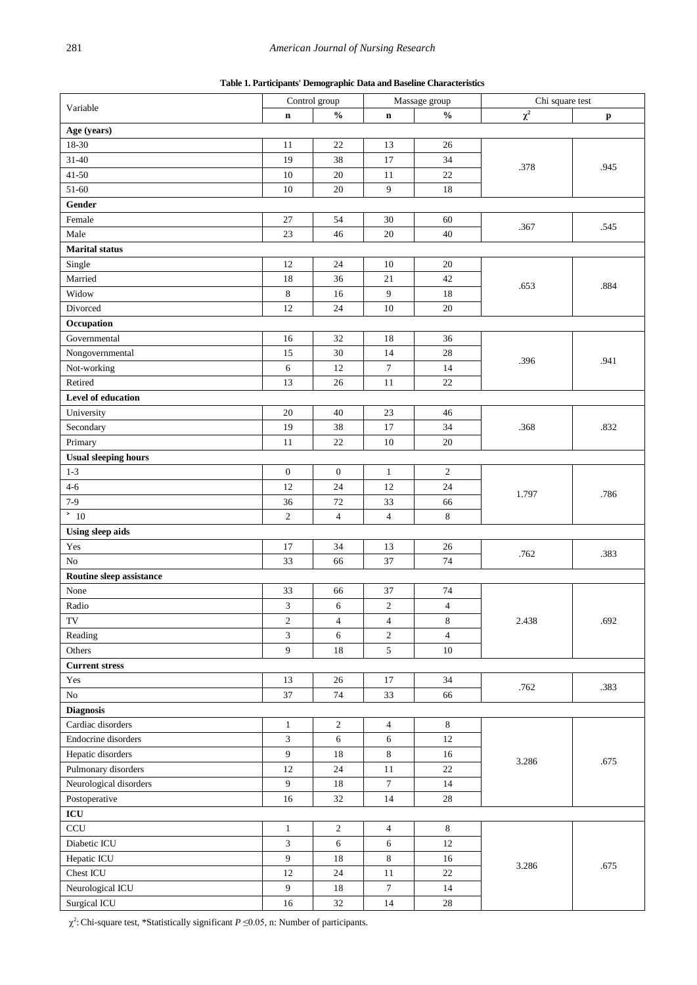|  | Table 1. Participants' Demographic Data and Baseline Characteristics |
|--|----------------------------------------------------------------------|
|  |                                                                      |

<span id="page-3-0"></span>

|                                | Control group    |                  | Massage group    |                | Chi square test |              |  |
|--------------------------------|------------------|------------------|------------------|----------------|-----------------|--------------|--|
| Variable                       | $\mathbf n$      | $\frac{0}{0}$    | $\mathbf n$      | $\frac{0}{0}$  | $\chi^2$        | $\mathbf{p}$ |  |
| Age (years)                    |                  |                  |                  |                |                 |              |  |
| 18-30                          | 11               | $22\,$           | 13               | 26             |                 |              |  |
| $31 - 40$                      | 19               | 38               | 17               | 34             |                 |              |  |
| $41 - 50$                      | 10               | $20\,$           | 11               | $22\,$         | .378            | .945         |  |
| 51-60                          | 10               | $20\,$           | $\overline{9}$   | 18             |                 |              |  |
| Gender                         |                  |                  |                  |                |                 |              |  |
| Female                         | 27               | 54               | 30               | 60             |                 |              |  |
| Male                           | $23\,$           | 46               | 20               | 40             | .367            | .545         |  |
| <b>Marital</b> status          |                  |                  |                  |                |                 |              |  |
| Single                         | 12               | 24               | 10               | 20             |                 |              |  |
| Married                        | 18               | 36               | 21               | 42             |                 |              |  |
| Widow                          | $\,8\,$          | 16               | 9                | 18             | .653            | .884         |  |
| Divorced                       | 12               | 24               | 10               | $20\,$         |                 |              |  |
| Occupation                     |                  |                  |                  |                |                 |              |  |
| Governmental                   | 16               | 32               | 18               | 36             |                 |              |  |
|                                |                  |                  |                  |                |                 |              |  |
| Nongovernmental                | 15               | $30\,$           | 14               | $28\,$         | .396            | .941         |  |
| Not-working                    | 6                | 12               | $\tau$           | 14             |                 |              |  |
| Retired                        | 13               | 26               | $11\,$           | 22             |                 |              |  |
| Level of education             |                  |                  |                  |                |                 |              |  |
| University                     | 20               | 40               | 23               | 46             |                 |              |  |
| Secondary                      | 19               | 38               | 17               | 34             | .368            | .832         |  |
| Primary                        | 11               | $22\,$           | 10               | $20\,$         |                 |              |  |
| <b>Usual sleeping hours</b>    |                  |                  |                  |                |                 |              |  |
| $1 - 3$                        | $\boldsymbol{0}$ | $\boldsymbol{0}$ | $\mathbf{1}$     | $\sqrt{2}$     |                 | .786         |  |
| $4 - 6$                        | 12               | 24               | 12               | 24             | 1.797           |              |  |
| $7-9$                          | 36               | $72\,$           | 33               | 66             |                 |              |  |
| $\overline{\phantom{0}^{2}10}$ | $\overline{c}$   | $\overline{4}$   | $\overline{4}$   | 8              |                 |              |  |
| <b>Using sleep aids</b>        |                  |                  |                  |                |                 |              |  |
| Yes                            | 17               | 34               | 13               | 26             | .762            | .383         |  |
| No                             | 33               | 66               | 37               | 74             |                 |              |  |
| Routine sleep assistance       |                  |                  |                  |                |                 |              |  |
| None                           | 33               | 66               | 37               | 74             |                 |              |  |
| Radio                          | 3                | 6                | $\sqrt{2}$       | $\overline{4}$ |                 | .692         |  |
| TV                             | 2                | $\overline{4}$   | $\overline{4}$   | 8              | 2.438           |              |  |
| Reading                        | 3                | $6\,$            | $\overline{c}$   | $\overline{4}$ |                 |              |  |
| Others                         | 9                | 18               | 5                | $10\,$         |                 |              |  |
| <b>Current stress</b>          |                  |                  |                  |                |                 |              |  |
| Yes                            | 13               | $26\,$           | $17\,$           | 34             |                 |              |  |
| ${\rm No}$                     | 37               | 74               | 33               | 66             | .762            | .383         |  |
| <b>Diagnosis</b>               |                  |                  |                  |                |                 |              |  |
| Cardiac disorders              | $\mathbf{1}$     | $\sqrt{2}$       | $\overline{4}$   | $8\,$          |                 |              |  |
| Endocrine disorders            | 3                | 6                | 6                | 12             |                 |              |  |
| Hepatic disorders              | 9                | $18\,$           | $\,8\,$          | 16             |                 | .675         |  |
| Pulmonary disorders            | 12               | 24               | $11\,$           | 22             | 3.286           |              |  |
| Neurological disorders         | $\boldsymbol{9}$ | 18               | $\tau$           | 14             |                 |              |  |
| Postoperative                  | 16               | 32               | 14               | $28\,$         |                 |              |  |
| $\bf ICU$                      |                  |                  |                  |                |                 |              |  |
| $\ensuremath{\textup{CCU}}$    | $\mathbf{1}$     | $\overline{2}$   | $\overline{4}$   | $8\,$          |                 |              |  |
| Diabetic ICU                   | $\mathfrak{Z}$   | $\sqrt{6}$       | 6                | 12             |                 |              |  |
| Hepatic ICU                    | 9                | 18               | 8                | 16             |                 |              |  |
| Chest ICU                      | 12               | $24\,$           | $11\,$           | $22\,$         | 3.286           | .675         |  |
|                                |                  |                  | $\boldsymbol{7}$ |                |                 |              |  |
| Neurological ICU               | 9                | $18\,$           |                  | 14             |                 |              |  |
| Surgical ICU                   | 16               | $32\,$           | 14               | $28\,$         |                 |              |  |

χ2 :Chi-square test, \*Statistically significant *P* ≤0.05, n: Number of participants.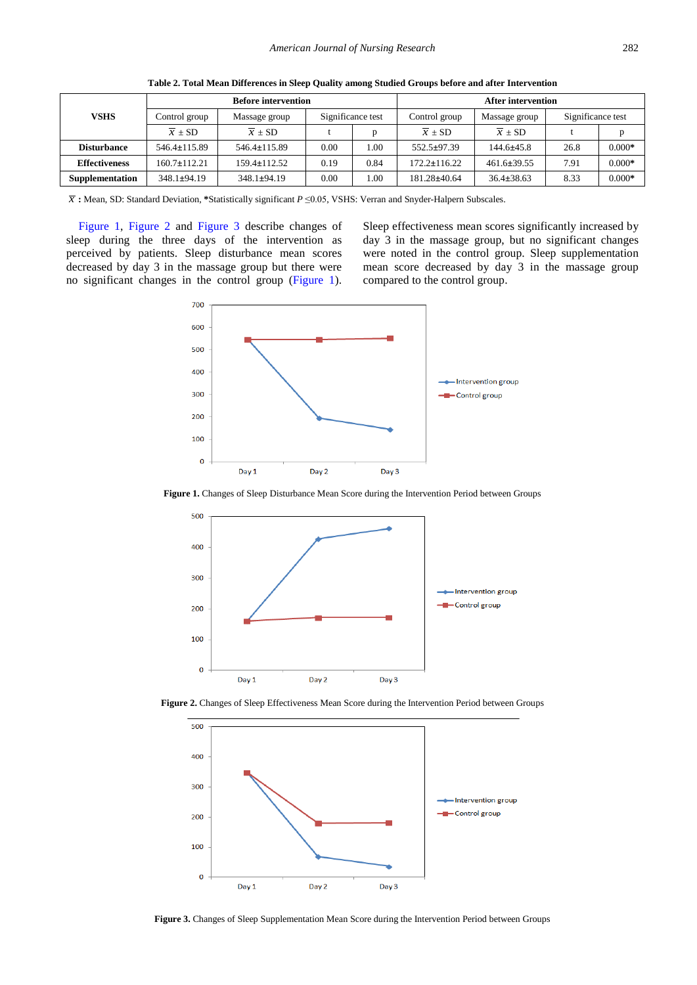<span id="page-4-0"></span>

|                      |                     | <b>Before intervention</b> | <b>After intervention</b> |      |                     |                     |                   |          |
|----------------------|---------------------|----------------------------|---------------------------|------|---------------------|---------------------|-------------------|----------|
| VSHS                 | Control group       | Massage group              | Significance test         |      | Control group       | Massage group       | Significance test |          |
|                      | $\overline{x}$ ± SD | $\overline{x}$ ± SD        |                           |      | $\overline{x}$ ± SD | $\overline{x}$ ± SD |                   |          |
| <b>Disturbance</b>   | $546.4 \pm 115.89$  | $546.4 \pm 115.89$         | 0.00                      | 1.00 | $552.5 \pm 97.39$   | $144.6 \pm 45.8$    | 26.8              | $0.000*$ |
| <b>Effectiveness</b> | $160.7 \pm 112.21$  | $159.4 \pm 112.52$         | 0.19                      | 0.84 | $172.2 \pm 116.22$  | $461.6 \pm 39.55$   | 7.91              | $0.000*$ |
| Supplementation      | $348.1 \pm 94.19$   | $348.1 \pm 94.19$          | 0.00                      | 00.1 | $181.28 \pm 40.64$  | $36.4 \pm 38.63$    | 8.33              | $0.000*$ |

<span id="page-4-2"></span><span id="page-4-1"></span>**Table 2. Total Mean Differences in Sleep Quality among Studied Groups before and after Intervention**

*x* **:** Mean, SD: Standard Deviation, **\***Statistically significant *P* ≤0.05, VSHS: Verran and Snyder-Halpern Subscales.

[Figure 1,](#page-4-1) [Figure 2](#page-4-2) and [Figure 3](#page-4-3) describe changes of sleep during the three days of the intervention as perceived by patients. Sleep disturbance mean scores decreased by day 3 in the massage group but there were no significant changes in the control group [\(Figure 1\)](#page-4-1).

<span id="page-4-4"></span><span id="page-4-3"></span>Sleep effectiveness mean scores significantly increased by day 3 in the massage group, but no significant changes were noted in the control group. Sleep supplementation mean score decreased by day 3 in the massage group compared to the control group.



Figure 1. Changes of Sleep Disturbance Mean Score during the Intervention Period between Groups



**Figure 2.** Changes of Sleep Effectiveness Mean Score during the Intervention Period between Groups



**Figure 3.** Changes of Sleep Supplementation Mean Score during the Intervention Period between Groups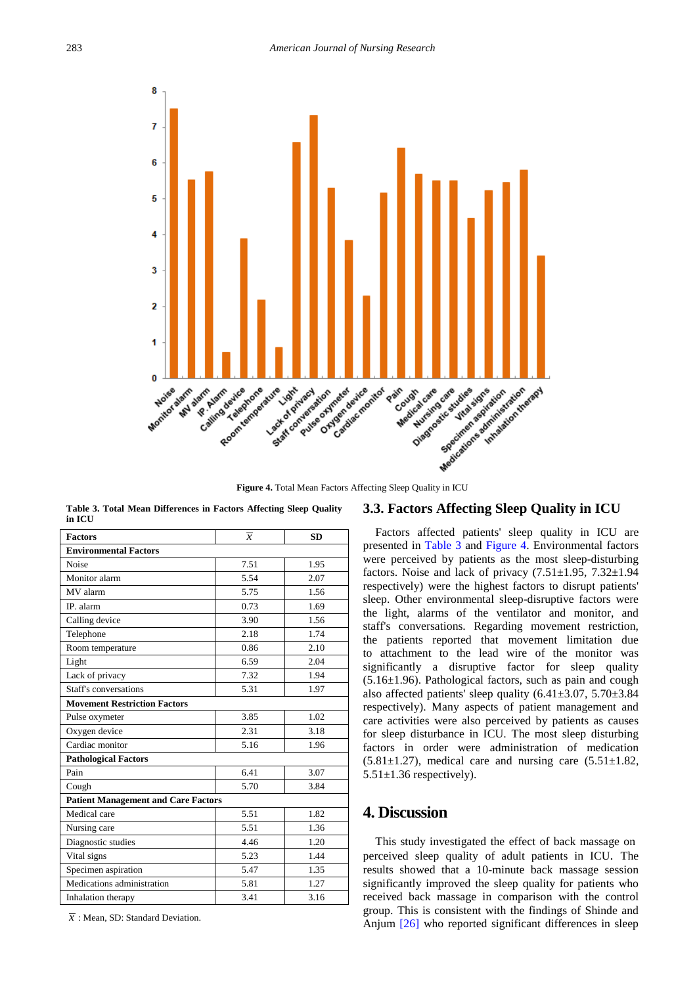

**Figure 4.** Total Mean Factors Affecting Sleep Quality in ICU

|        |  | Table 3. Total Mean Differences in Factors Affecting Sleep Quality |  |  |  |
|--------|--|--------------------------------------------------------------------|--|--|--|
| in ICU |  |                                                                    |  |  |  |

<span id="page-5-0"></span>

| <b>Factors</b>                             | $\overline{x}$ | <b>SD</b> |  |  |  |  |
|--------------------------------------------|----------------|-----------|--|--|--|--|
| <b>Environmental Factors</b>               |                |           |  |  |  |  |
| Noise                                      | 7.51           | 1.95      |  |  |  |  |
| Monitor alarm                              | 5.54           | 2.07      |  |  |  |  |
| MV alarm                                   | 5.75           | 1.56      |  |  |  |  |
| IP. alarm                                  | 0.73           | 1.69      |  |  |  |  |
| Calling device                             | 3.90           | 1.56      |  |  |  |  |
| Telephone                                  | 2.18           | 1.74      |  |  |  |  |
| Room temperature                           | 0.86           | 2.10      |  |  |  |  |
| Light                                      | 6.59           | 2.04      |  |  |  |  |
| Lack of privacy                            | 7.32           | 1.94      |  |  |  |  |
| Staff's conversations                      | 5.31           | 1.97      |  |  |  |  |
| <b>Movement Restriction Factors</b>        |                |           |  |  |  |  |
| Pulse oxymeter                             | 3.85           | 1.02      |  |  |  |  |
| Oxygen device                              | 2.31           | 3.18      |  |  |  |  |
| Cardiac monitor                            | 5.16           | 1.96      |  |  |  |  |
| <b>Pathological Factors</b>                |                |           |  |  |  |  |
| Pain                                       | 6.41           | 3.07      |  |  |  |  |
| Cough                                      | 5.70           | 3.84      |  |  |  |  |
| <b>Patient Management and Care Factors</b> |                |           |  |  |  |  |
| Medical care                               | 5.51           | 1.82      |  |  |  |  |
| Nursing care                               | 5.51           | 1.36      |  |  |  |  |
| Diagnostic studies                         | 4.46           | 1.20      |  |  |  |  |
| Vital signs                                | 5.23           | 1.44      |  |  |  |  |
| Specimen aspiration                        | 5.47           | 1.35      |  |  |  |  |
| Medications administration                 | 5.81           | 1.27      |  |  |  |  |
| Inhalation therapy                         | 3.41           | 3.16      |  |  |  |  |

 $\overline{x}$ : Mean, SD: Standard Deviation.

## **3.3. Factors Affecting Sleep Quality in ICU**

Factors affected patients' sleep quality in ICU are presented in [Table 3](#page-5-0) and [Figure 4.](#page-4-4) Environmental factors were perceived by patients as the most sleep-disturbing factors. Noise and lack of privacy  $(7.51\pm1.95, 7.32\pm1.94)$ respectively) were the highest factors to disrupt patients' sleep. Other environmental sleep-disruptive factors were the light, alarms of the ventilator and monitor, and staff's conversations. Regarding movement restriction, the patients reported that movement limitation due to attachment to the lead wire of the monitor was significantly a disruptive factor for sleep quality (5.16±1.96). Pathological factors, such as pain and cough also affected patients' sleep quality (6.41±3.07, 5.70±3.84 respectively). Many aspects of patient management and care activities were also perceived by patients as causes for sleep disturbance in ICU. The most sleep disturbing factors in order were administration of medication  $(5.81 \pm 1.27)$ , medical care and nursing care  $(5.51 \pm 1.82)$ ,  $5.51 \pm 1.36$  respectively).

# **4. Discussion**

This study investigated the effect of back massage on perceived sleep quality of adult patients in ICU. The results showed that a 10-minute back massage session significantly improved the sleep quality for patients who received back massage in comparison with the control group. This is consistent with the findings of Shinde and Anjum [\[26\]](#page-7-16) who reported significant differences in sleep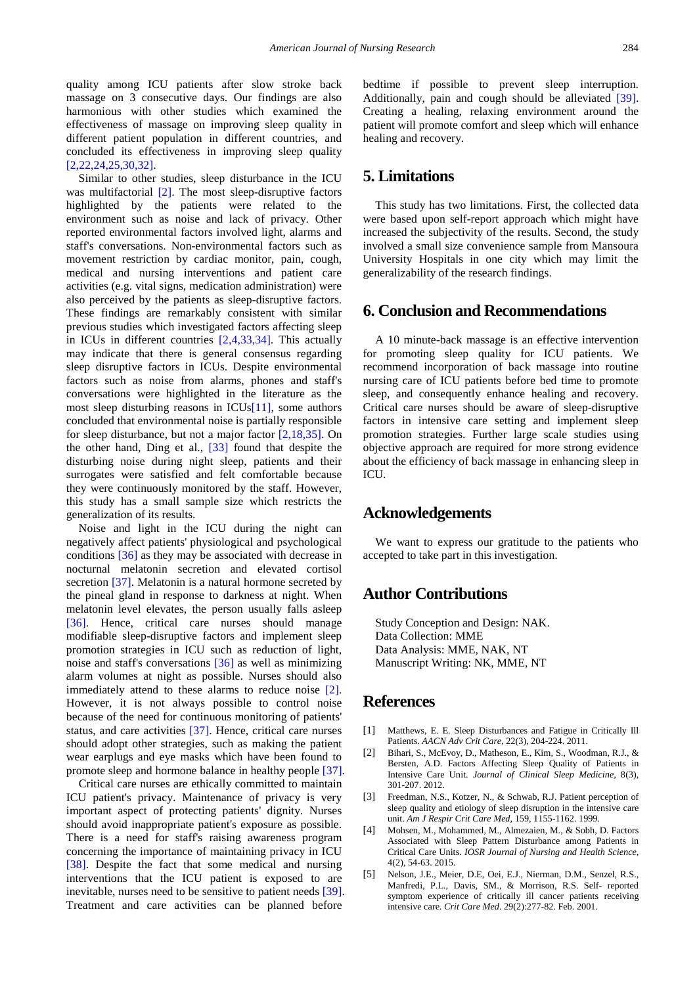quality among ICU patients after slow stroke back massage on 3 consecutive days. Our findings are also harmonious with other studies which examined the effectiveness of massage on improving sleep quality in different patient population in different countries, and concluded its effectiveness in improving sleep quality [\[2,22,24,25,30,32\].](#page-6-1)

Similar to other studies, sleep disturbance in the ICU was multifactorial [\[2\].](#page-6-1) The most sleep-disruptive factors highlighted by the patients were related to the environment such as noise and lack of privacy. Other reported environmental factors involved light, alarms and staff's conversations. Non-environmental factors such as movement restriction by cardiac monitor, pain, cough, medical and nursing interventions and patient care activities (e.g. vital signs, medication administration) were also perceived by the patients as sleep-disruptive factors. These findings are remarkably consistent with similar previous studies which investigated factors affecting sleep in ICUs in different countries [\[2,4,33,34\].](#page-6-1) This actually may indicate that there is general consensus regarding sleep disruptive factors in ICUs. Despite environmental factors such as noise from alarms, phones and staff's conversations were highlighted in the literature as the most sleep disturbing reasons in ICU[s\[11\],](#page-7-3) some authors concluded that environmental noise is partially responsible for sleep disturbance, but not a major factor [\[2,18,35\].](#page-6-1) On the other hand, Ding et al., [\[33\]](#page-7-17) found that despite the disturbing noise during night sleep, patients and their surrogates were satisfied and felt comfortable because they were continuously monitored by the staff. However, this study has a small sample size which restricts the generalization of its results.

Noise and light in the ICU during the night can negatively affect patients' physiological and psychological conditions [\[36\]](#page-7-18) as they may be associated with decrease in nocturnal melatonin secretion and elevated cortisol secretion [\[37\].](#page-7-19) Melatonin is a natural hormone secreted by the pineal gland in response to darkness at night. When melatonin level elevates, the person usually falls asleep [\[36\].](#page-7-18) Hence, critical care nurses should manage modifiable sleep-disruptive factors and implement sleep promotion strategies in ICU such as reduction of light, noise and staff's conversations [\[36\]](#page-7-18) as well as minimizing alarm volumes at night as possible. Nurses should also immediately attend to these alarms to reduce noise [\[2\].](#page-6-1) However, it is not always possible to control noise because of the need for continuous monitoring of patients' status, and care activities [\[37\].](#page-7-19) Hence, critical care nurses should adopt other strategies, such as making the patient wear earplugs and eye masks which have been found to promote sleep and hormone balance in healthy people [\[37\].](#page-7-19)

Critical care nurses are ethically committed to maintain ICU patient's privacy. Maintenance of privacy is very important aspect of protecting patients' dignity. Nurses should avoid inappropriate patient's exposure as possible. There is a need for staff's raising awareness program concerning the importance of maintaining privacy in ICU [\[38\].](#page-7-20) Despite the fact that some medical and nursing interventions that the ICU patient is exposed to are inevitable, nurses need to be sensitive to patient needs [\[39\].](#page-7-21) Treatment and care activities can be planned before

bedtime if possible to prevent sleep interruption. Additionally, pain and cough should be alleviated [\[39\].](#page-7-21) Creating a healing, relaxing environment around the patient will promote comfort and sleep which will enhance healing and recovery.

# **5. Limitations**

This study has two limitations. First, the collected data were based upon self-report approach which might have increased the subjectivity of the results. Second, the study involved a small size convenience sample from Mansoura University Hospitals in one city which may limit the generalizability of the research findings.

## **6. Conclusion and Recommendations**

A 10 minute-back massage is an effective intervention for promoting sleep quality for ICU patients. We recommend incorporation of back massage into routine nursing care of ICU patients before bed time to promote sleep, and consequently enhance healing and recovery. Critical care nurses should be aware of sleep-disruptive factors in intensive care setting and implement sleep promotion strategies. Further large scale studies using objective approach are required for more strong evidence about the efficiency of back massage in enhancing sleep in ICU.

## **Acknowledgements**

We want to express our gratitude to the patients who accepted to take part in this investigation.

## **Author Contributions**

Study Conception and Design: NAK. Data Collection: MME Data Analysis: MME, NAK, NT Manuscript Writing: NK, MME, NT

## **References**

- <span id="page-6-0"></span>[1] Matthews, E. E. Sleep Disturbances and Fatigue in Critically Ill Patients. *AACN Adv Crit Care*, 22(3), 204-224. 2011.
- <span id="page-6-1"></span>[2] Bihari, S., McEvoy, D., Matheson, E., Kim, S., Woodman, R.J., & Bersten, A.D. Factors Affecting Sleep Quality of Patients in Intensive Care Unit. *Journal of Clinical Sleep Medicine,* 8(3), 301-207. 2012.
- <span id="page-6-4"></span>[3] Freedman, N.S., Kotzer, N., & Schwab, R.J. Patient perception of sleep quality and etiology of sleep disruption in the intensive care unit. *Am J Respir Crit Care Med*, 159, 1155-1162. 1999.
- <span id="page-6-3"></span>[4] Mohsen, M., Mohammed, M., Almezaien, M., & Sobh, D. Factors Associated with Sleep Pattern Disturbance among Patients in Critical Care Units. *IOSR Journal of Nursing and Health Science*, 4(2), 54-63. 2015.
- <span id="page-6-2"></span>[5] Nelson, J.E., Meier, D.E, Oei, E.J., Nierman, D.M., Senzel, R.S., Manfredi, P.L., Davis, SM., & Morrison, R.S. Self- reported symptom experience of critically ill cancer patients receiving intensive care. *Crit Care Med*. 29(2):277-82. Feb. 2001.